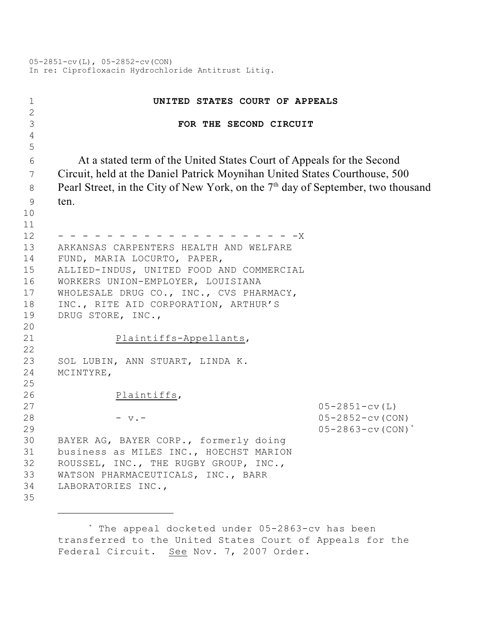05-2851-cv(L), 05-2852-cv(CON) In re: Ciprofloxacin Hydrochloride Antitrust Litig.

| 1                   | UNITED STATES COURT OF APPEALS                                                               |                                     |
|---------------------|----------------------------------------------------------------------------------------------|-------------------------------------|
| $\overline{2}$<br>3 | FOR THE SECOND CIRCUIT                                                                       |                                     |
| $\overline{4}$      |                                                                                              |                                     |
| 5                   |                                                                                              |                                     |
| 6                   | At a stated term of the United States Court of Appeals for the Second                        |                                     |
| 7                   | Circuit, held at the Daniel Patrick Moynihan United States Courthouse, 500                   |                                     |
| 8                   | Pearl Street, in the City of New York, on the 7 <sup>th</sup> day of September, two thousand |                                     |
| 9                   | ten.                                                                                         |                                     |
| 10                  |                                                                                              |                                     |
| 11                  |                                                                                              |                                     |
| 12                  | $-X$                                                                                         |                                     |
| 13                  | ARKANSAS CARPENTERS HEALTH AND WELFARE                                                       |                                     |
| 14                  | FUND, MARIA LOCURTO, PAPER,                                                                  |                                     |
| 15                  | ALLIED-INDUS, UNITED FOOD AND COMMERCIAL                                                     |                                     |
| 16                  | WORKERS UNION-EMPLOYER, LOUISIANA                                                            |                                     |
| 17                  | WHOLESALE DRUG CO., INC., CVS PHARMACY,                                                      |                                     |
| 18                  | INC., RITE AID CORPORATION, ARTHUR'S                                                         |                                     |
| 19                  | DRUG STORE, INC.,                                                                            |                                     |
| 20                  |                                                                                              |                                     |
| 21                  | Plaintiffs-Appellants,                                                                       |                                     |
| 22                  |                                                                                              |                                     |
| 23                  | SOL LUBIN, ANN STUART, LINDA K.                                                              |                                     |
| 24<br>25            | MCINTYRE,                                                                                    |                                     |
| 26                  | Plaintiffs,                                                                                  |                                     |
| 27                  |                                                                                              | $05 - 2851 - cv(L)$                 |
| 28                  | $-$ v. $-$                                                                                   | $05 - 2852 - cv$ (CON)              |
| 29                  |                                                                                              | $05 - 2863 - cv$ (CON) <sup>*</sup> |
| 30                  | BAYER AG, BAYER CORP., formerly doing                                                        |                                     |
| 31                  | business as MILES INC., HOECHST MARION                                                       |                                     |
| 32                  | ROUSSEL, INC., THE RUGBY GROUP, INC.,                                                        |                                     |
| 33                  | WATSON PHARMACEUTICALS, INC., BARR                                                           |                                     |
| 34                  | LABORATORIES INC.,                                                                           |                                     |
| 35                  |                                                                                              |                                     |
|                     |                                                                                              |                                     |

<sup>\*</sup> The appeal docketed under 05-2863-cv has been transferred to the United States Court of Appeals for the Federal Circuit. See Nov. 7, 2007 Order.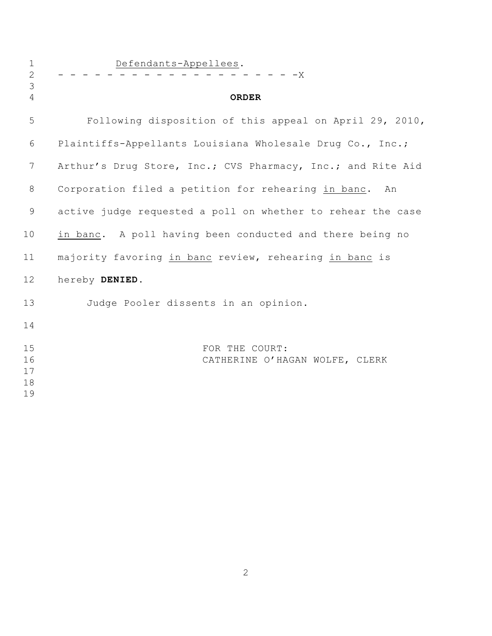| $\mathbf 1$<br>$\overline{2}$<br>3 | Defendants-Appellees.<br>- - - - - X                        |  |
|------------------------------------|-------------------------------------------------------------|--|
| $\overline{4}$                     | <b>ORDER</b>                                                |  |
| 5                                  | Following disposition of this appeal on April 29, 2010,     |  |
| 6                                  | Plaintiffs-Appellants Louisiana Wholesale Drug Co., Inc.;   |  |
| $7\phantom{.0}$                    | Arthur's Drug Store, Inc.; CVS Pharmacy, Inc.; and Rite Aid |  |
| 8                                  | Corporation filed a petition for rehearing in banc. An      |  |
| $\mathsf 9$                        | active judge requested a poll on whether to rehear the case |  |
| 10                                 | in banc. A poll having been conducted and there being no    |  |
| 11                                 | majority favoring in banc review, rehearing in banc is      |  |
| 12                                 | hereby DENIED.                                              |  |
| 13                                 | Judge Pooler dissents in an opinion.                        |  |
| 14                                 |                                                             |  |
| 15<br>16<br>17<br>18<br>19         | FOR THE COURT:<br>CATHERINE O'HAGAN WOLFE, CLERK            |  |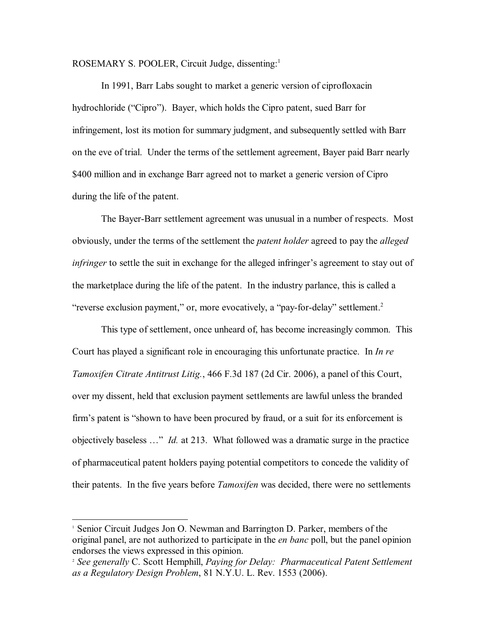ROSEMARY S. POOLER, Circuit Judge, dissenting:<sup>1</sup>

In 1991, Barr Labs sought to market a generic version of ciprofloxacin hydrochloride ("Cipro"). Bayer, which holds the Cipro patent, sued Barr for infringement, lost its motion for summary judgment, and subsequently settled with Barr on the eve of trial. Under the terms of the settlement agreement, Bayer paid Barr nearly \$400 million and in exchange Barr agreed not to market a generic version of Cipro during the life of the patent.

The Bayer-Barr settlement agreement was unusual in a number of respects. Most obviously, under the terms of the settlement the *patent holder* agreed to pay the *alleged infringer* to settle the suit in exchange for the alleged infringer's agreement to stay out of the marketplace during the life of the patent. In the industry parlance, this is called a "reverse exclusion payment," or, more evocatively, a "pay-for-delay" settlement.<sup>2</sup>

This type of settlement, once unheard of, has become increasingly common. This Court has played a significant role in encouraging this unfortunate practice. In *In re Tamoxifen Citrate Antitrust Litig.*, 466 F.3d 187 (2d Cir. 2006), a panel of this Court, over my dissent, held that exclusion payment settlements are lawful unless the branded firm's patent is "shown to have been procured by fraud, or a suit for its enforcement is objectively baseless …" *Id.* at 213. What followed was a dramatic surge in the practice of pharmaceutical patent holders paying potential competitors to concede the validity of their patents. In the five years before *Tamoxifen* was decided, there were no settlements

Senior Circuit Judges Jon O. Newman and Barrington D. Parker, members of the <sup>1</sup> original panel, are not authorized to participate in the *en banc* poll, but the panel opinion endorses the views expressed in this opinion.

*See generally* C. Scott Hemphill, *Paying for Delay: Pharmaceutical Patent Settlement* <sup>2</sup> *as a Regulatory Design Problem*, 81 N.Y.U. L. Rev. 1553 (2006).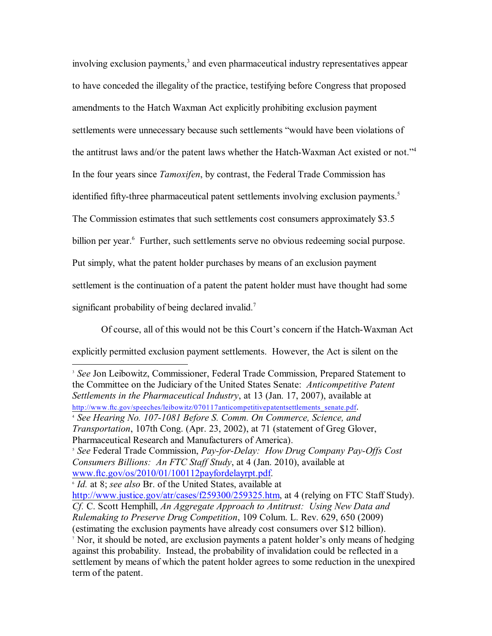involving exclusion payments,<sup>3</sup> and even pharmaceutical industry representatives appear to have conceded the illegality of the practice, testifying before Congress that proposed amendments to the Hatch Waxman Act explicitly prohibiting exclusion payment settlements were unnecessary because such settlements "would have been violations of the antitrust laws and/or the patent laws whether the Hatch-Waxman Act existed or not."<sup>4</sup> In the four years since *Tamoxifen*, by contrast, the Federal Trade Commission has identified fifty-three pharmaceutical patent settlements involving exclusion payments.<sup>5</sup> The Commission estimates that such settlements cost consumers approximately \$3.5 billion per year.<sup>6</sup> Further, such settlements serve no obvious redeeming social purpose. Put simply, what the patent holder purchases by means of an exclusion payment settlement is the continuation of a patent the patent holder must have thought had some significant probability of being declared invalid.<sup>7</sup>

Of course, all of this would not be this Court's concern if the Hatch-Waxman Act explicitly permitted exclusion payment settlements. However, the Act is silent on the

<sup>3</sup> See Jon Leibowitz, Commissioner, Federal Trade Commission, Prepared Statement to the Committee on the Judiciary of the United States Senate: *Anticompetitive Patent Settlements in the Pharmaceutical Industry*, at 13 (Jan. 17, 2007), available at [http://www.ftc.gov/speeches/leibowitz/070117anticompetitivepatentsettlements\\_senate.pdf](http://www.ftc.gov/speeches/leibowitz/070117anticompetitivepatentsettlements_senate.pdf).

<http://www.justice.gov/atr/cases/f259300/259325.htm>, at 4 (relying on FTC Staff Study). *Cf.* C. Scott Hemphill, *An Aggregate Approach to Antitrust: Using New Data and Rulemaking to Preserve Drug Competition*, 109 Colum. L. Rev. 629, 650 (2009) (estimating the exclusion payments have already cost consumers over \$12 billion). <sup>7</sup> Nor, it should be noted, are exclusion payments a patent holder's only means of hedging against this probability. Instead, the probability of invalidation could be reflected in a settlement by means of which the patent holder agrees to some reduction in the unexpired term of the patent.

*See Hearing No. 107-1081 Before S. Comm. On Commerce, Science, and* <sup>4</sup> *Transportation*, 107th Cong. (Apr. 23, 2002), at 71 (statement of Greg Glover, Pharmaceutical Research and Manufacturers of America).

*See* Federal Trade Commission, *Pay-for-Delay: How Drug Company Pay-Offs Cost* <sup>5</sup> *Consumers Billions: An FTC Staff Study*, at 4 (Jan. 2010), available at [www.ftc.gov/os/2010/01/100112payfordelayrpt.pdf](http://www.ftc.gov/os/2010/01/100112payfordelayrpt.pdf).

*Id.* at 8; *see also* Br. of the United States, available at <sup>6</sup>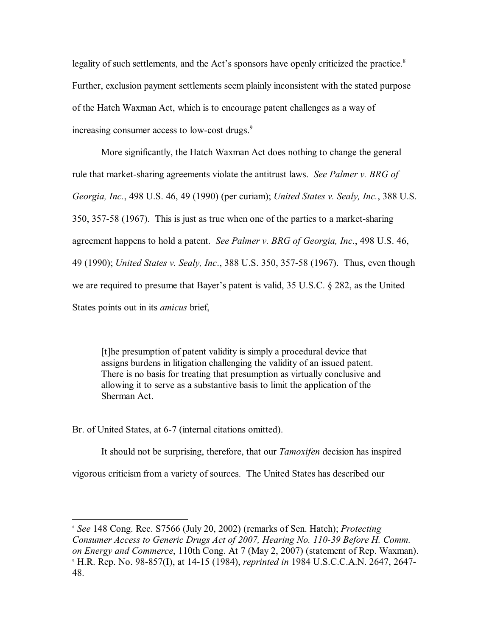legality of such settlements, and the Act's sponsors have openly criticized the practice.<sup>8</sup> Further, exclusion payment settlements seem plainly inconsistent with the stated purpose of the Hatch Waxman Act, which is to encourage patent challenges as a way of increasing consumer access to low-cost drugs.<sup>9</sup>

More significantly, the Hatch Waxman Act does nothing to change the general rule that market-sharing agreements violate the antitrust laws. *See Palmer v. BRG of Georgia, Inc.*, 498 U.S. 46, 49 (1990) (per curiam); *United States v. Sealy, Inc.*, 388 U.S. 350, 357-58 (1967). This is just as true when one of the parties to a market-sharing agreement happens to hold a patent. *See Palmer v. BRG of Georgia, Inc*., 498 U.S. 46, 49 (1990); *United States v. Sealy, Inc*., 388 U.S. 350, 357-58 (1967). Thus, even though we are required to presume that Bayer's patent is valid, 35 U.S.C. § 282, as the United States points out in its *amicus* brief,

[t]he presumption of patent validity is simply a procedural device that assigns burdens in litigation challenging the validity of an issued patent. There is no basis for treating that presumption as virtually conclusive and allowing it to serve as a substantive basis to limit the application of the Sherman Act.

Br. of United States, at 6-7 (internal citations omitted).

It should not be surprising, therefore, that our *Tamoxifen* decision has inspired vigorous criticism from a variety of sources. The United States has described our

*See* 148 Cong. Rec. S7566 (July 20, 2002) (remarks of Sen. Hatch); *Protecting* <sup>8</sup> *Consumer Access to Generic Drugs Act of 2007, Hearing No. 110-39 Before H. Comm. on Energy and Commerce*, 110th Cong. At 7 (May 2, 2007) (statement of Rep. Waxman). H.R. Rep. No. 98-857(I), at 14-15 (1984), *reprinted in* 1984 U.S.C.C.A.N. 2647, 2647- <sup>9</sup> 48.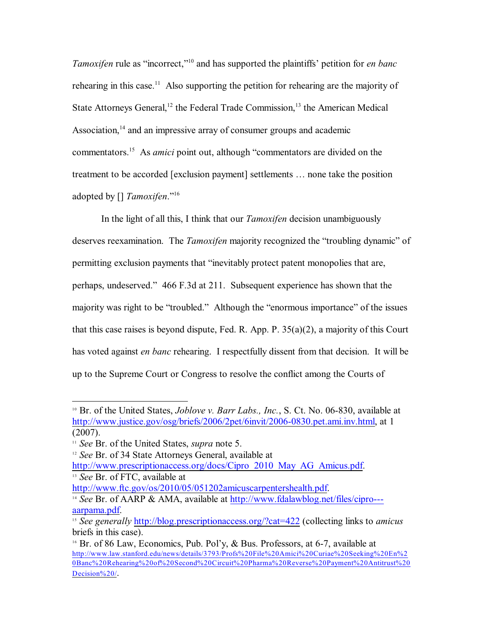*Tamoxifen* rule as "incorrect,"<sup>10</sup> and has supported the plaintiffs' petition for *en banc* rehearing in this case.<sup>11</sup> Also supporting the petition for rehearing are the majority of State Attorneys General,<sup>12</sup> the Federal Trade Commission,<sup>13</sup> the American Medical Association, $14$  and an impressive array of consumer groups and academic commentators.<sup>15</sup> As *amici* point out, although "commentators are divided on the treatment to be accorded [exclusion payment] settlements … none take the position adopted by [] *Tamoxifen*."<sup>16</sup>

In the light of all this, I think that our *Tamoxifen* decision unambiguously deserves reexamination. The *Tamoxifen* majority recognized the "troubling dynamic" of permitting exclusion payments that "inevitably protect patent monopolies that are, perhaps, undeserved." 466 F.3d at 211. Subsequent experience has shown that the majority was right to be "troubled." Although the "enormous importance" of the issues that this case raises is beyond dispute, Fed. R. App. P. 35(a)(2), a majority of this Court has voted against *en banc* rehearing. I respectfully dissent from that decision. It will be up to the Supreme Court or Congress to resolve the conflict among the Courts of

<http://www.ftc.gov/os/2010/05/051202amicuscarpentershealth.pdf>.

<sup>&</sup>lt;sup>10</sup> Br. of the United States, *Joblove v. Barr Labs., Inc.*, S. Ct. No. 06-830, available at <http://www.justice.gov/osg/briefs/2006/2pet/6invit/2006-0830.pet.ami.inv.html>, at 1 (2007).

*See* Br. of the United States, *supra* note 5. 11

<sup>&</sup>lt;sup>12</sup> See Br. of 34 State Attorneys General, available at [http://www.prescriptionaccess.org/docs/Cipro\\_2010\\_May\\_AG\\_Amicus.pdf](http://www.prescriptionaccess.org/docs/Cipro_2010_May_AG_Amicus.pdf). <sup>13</sup> See Br. of FTC, available at

<sup>&</sup>lt;sup>14</sup> See Br. of AARP & AMA, available at [http://www.fdalawblog.net/files/cipro--](http://www.fdalawblog.net/files/cipro---aarpama.pdf) [aarpama.pdf](http://www.fdalawblog.net/files/cipro---aarpama.pdf).

<sup>&</sup>lt;sup>15</sup> See generally **<http://blog.prescriptionaccess.org/?cat=422>** (collecting links to *amicus* briefs in this case).

<sup>&</sup>lt;sup>16</sup> Br. of 86 Law, Economics, Pub. Pol'y,  $\&$  Bus. Professors, at 6-7, available at [http://www.law.stanford.edu/news/details/3793/Profs%20File%20Amici%20Curiae%20Seeking%20En%2](http://www.law.stanford.edu/news/details/3793/Profs%20File%20Amici%20Curiae%20Seeking%20En%20Banc%20Rehearing%20of%20Second%20Circuit%20Pharma%20Reverse%20Payment%20Antitrust%20Decision%20/) [0Banc%20Rehearing%20of%20Second%20Circuit%20Pharma%20Reverse%20Payment%20Antitrust%20](http://www.law.stanford.edu/news/details/3793/Profs%20File%20Amici%20Curiae%20Seeking%20En%20Banc%20Rehearing%20of%20Second%20Circuit%20Pharma%20Reverse%20Payment%20Antitrust%20Decision%20/) [Decision%20/](http://www.law.stanford.edu/news/details/3793/Profs%20File%20Amici%20Curiae%20Seeking%20En%20Banc%20Rehearing%20of%20Second%20Circuit%20Pharma%20Reverse%20Payment%20Antitrust%20Decision%20/).